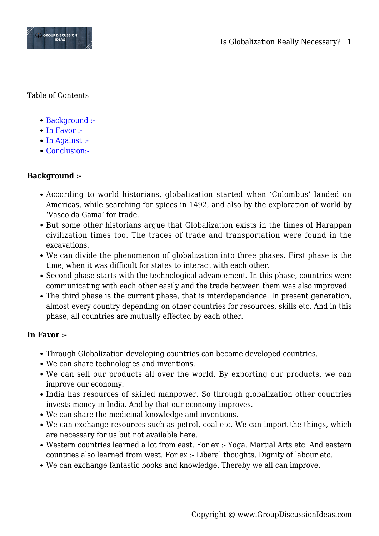

Table of Contents

- [Background :-](#page--1-0)
- [In Favor :-](#page--1-0)
- [In Against :-](#page--1-0)
- [Conclusion:-](#page--1-0)

## **Background :-**

- According to world historians, globalization started when 'Colombus' landed on Americas, while searching for spices in 1492, and also by the exploration of world by 'Vasco da Gama' for trade.
- But some other historians argue that Globalization exists in the times of Harappan civilization times too. The traces of trade and transportation were found in the excavations.
- We can divide the phenomenon of globalization into three phases. First phase is the time, when it was difficult for states to interact with each other.
- Second phase starts with the technological advancement. In this phase, countries were communicating with each other easily and the trade between them was also improved.
- The third phase is the current phase, that is interdependence. In present generation, almost every country depending on other countries for resources, skills etc. And in this phase, all countries are mutually effected by each other.

## **In Favor :-**

- Through Globalization developing countries can become developed countries.
- We can share technologies and inventions.
- We can sell our products all over the world. By exporting our products, we can improve our economy.
- India has resources of skilled manpower. So through globalization other countries invests money in India. And by that our economy improves.
- We can share the medicinal knowledge and inventions.
- We can exchange resources such as petrol, coal etc. We can import the things, which are necessary for us but not available here.
- Western countries learned a lot from east. For ex :- Yoga, Martial Arts etc. And eastern countries also learned from west. For ex :- Liberal thoughts, Dignity of labour etc.
- We can exchange fantastic books and knowledge. Thereby we all can improve.